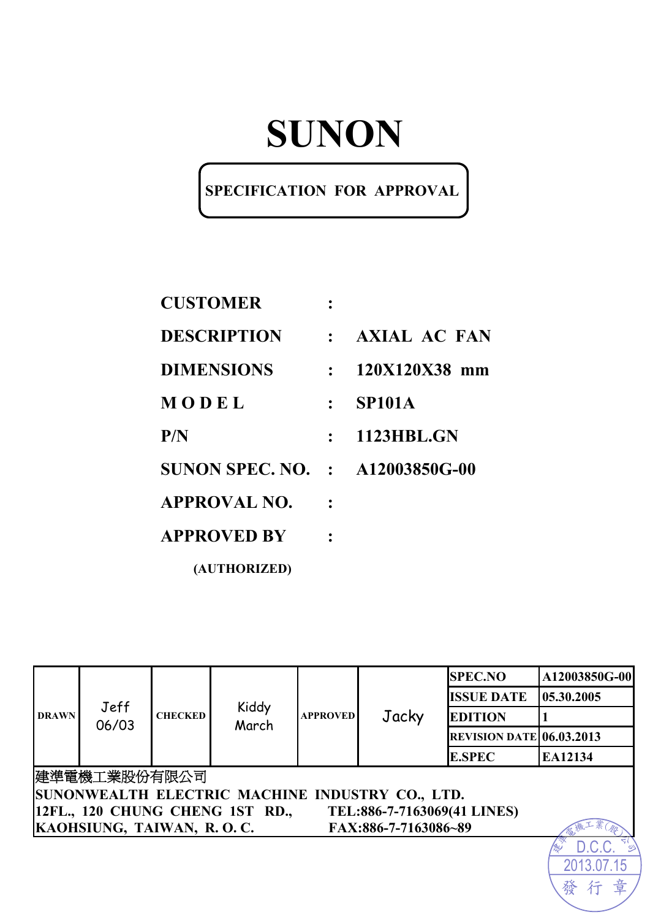# **SUNON**

### **SPECIFICATION FOR APPROVAL**

| <b>CUSTOMER</b>                        |                |                   |
|----------------------------------------|----------------|-------------------|
| <b>DESCRIPTION</b>                     |                | : AXIAL AC FAN    |
| <b>DIMENSIONS</b>                      | $\mathbb{R}^n$ | 120X120X38 mm     |
| MODEL                                  | $\mathcal{L}$  | <b>SP101A</b>     |
| P/N                                    |                | <b>1123HBL.GN</b> |
| <b>SUNON SPEC. NO. : A12003850G-00</b> |                |                   |
| <b>APPROVAL NO.</b>                    |                |                   |
| <b>APPROVED BY</b>                     |                |                   |

**(AUTHORIZED)** 

|                                                                | Jeff<br>06/03                                   |                | Kiddy<br>March | <b>APPROVED</b> | Jacky                | <b>SPEC.NO</b>                  | A12003850G-00 |  |
|----------------------------------------------------------------|-------------------------------------------------|----------------|----------------|-----------------|----------------------|---------------------------------|---------------|--|
| <b>DRAWN</b>                                                   |                                                 |                |                |                 |                      | <b>ISSUE DATE</b>               | 05.30.2005    |  |
|                                                                |                                                 | <b>CHECKED</b> |                |                 |                      | <b>EDITION</b>                  |               |  |
|                                                                |                                                 |                |                |                 |                      | <b>REVISION DATE 06.03.2013</b> |               |  |
|                                                                |                                                 |                |                |                 |                      | <b>E.SPEC</b>                   | EA12134       |  |
| 建準電機工業股份有限公司                                                   |                                                 |                |                |                 |                      |                                 |               |  |
|                                                                | SUNONWEALTH ELECTRIC MACHINE INDUSTRY CO., LTD. |                |                |                 |                      |                                 |               |  |
| 12FL., 120 CHUNG CHENG 1ST RD.,<br>TEL:886-7-7163069(41 LINES) |                                                 |                |                |                 |                      |                                 |               |  |
|                                                                | KAOHSIUNG, TAIWAN, R.O.C.                       |                |                |                 | FAX:886-7-7163086~89 |                                 |               |  |
|                                                                |                                                 |                |                |                 |                      |                                 |               |  |
|                                                                |                                                 |                |                |                 |                      |                                 | 2013.07.15    |  |

發行

章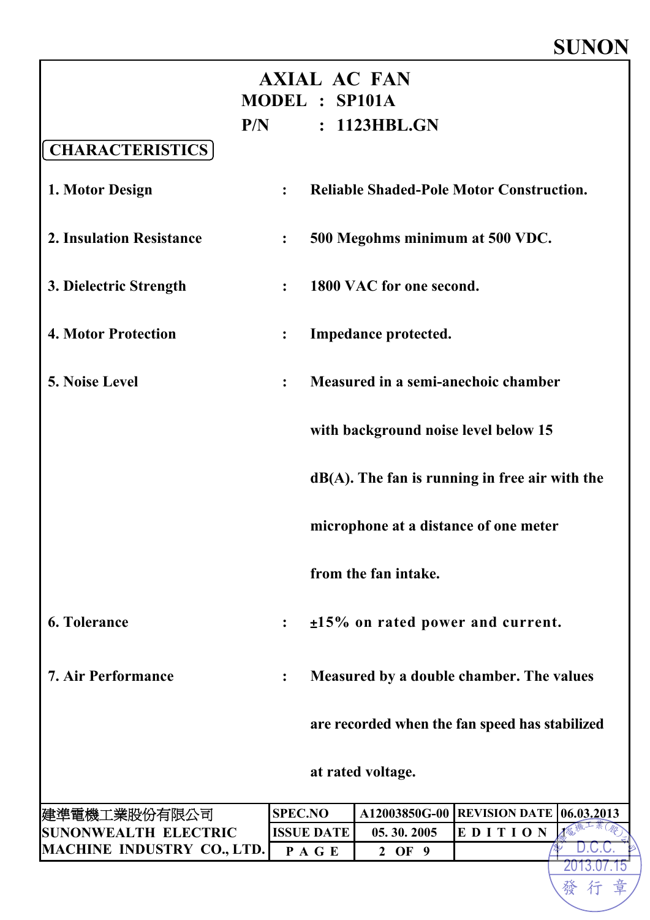### **SUNON**

| <b>AXIAL AC FAN</b><br><b>MODEL : SP101A</b> |                                      |                   |                                                   |                      |  |            |
|----------------------------------------------|--------------------------------------|-------------------|---------------------------------------------------|----------------------|--|------------|
|                                              | P/N                                  |                   | : 1123HBL.GN                                      |                      |  |            |
| <b>CHARACTERISTICS</b>                       |                                      |                   |                                                   |                      |  |            |
| 1. Motor Design                              | $\ddot{\cdot}$                       |                   | <b>Reliable Shaded-Pole Motor Construction.</b>   |                      |  |            |
| <b>2. Insulation Resistance</b>              | $\ddot{\cdot}$                       |                   | 500 Megohms minimum at 500 VDC.                   |                      |  |            |
| 3. Dielectric Strength                       | $\ddot{\cdot}$                       |                   | 1800 VAC for one second.                          |                      |  |            |
| <b>4. Motor Protection</b>                   | $\ddot{\bullet}$                     |                   | Impedance protected.                              |                      |  |            |
| <b>5. Noise Level</b>                        | $\ddot{\cdot}$                       |                   | Measured in a semi-anechoic chamber               |                      |  |            |
|                                              | with background noise level below 15 |                   |                                                   |                      |  |            |
|                                              |                                      |                   | $dB(A)$ . The fan is running in free air with the |                      |  |            |
|                                              |                                      |                   | microphone at a distance of one meter             |                      |  |            |
|                                              |                                      |                   | from the fan intake.                              |                      |  |            |
| <b>6. Tolerance</b>                          | $\ddot{\cdot}$                       |                   | $±15\%$ on rated power and current.               |                      |  |            |
| <b>7. Air Performance</b>                    |                                      |                   | Measured by a double chamber. The values          |                      |  |            |
|                                              |                                      |                   | are recorded when the fan speed has stabilized    |                      |  |            |
|                                              |                                      |                   | at rated voltage.                                 |                      |  |            |
| 建準電機工業股份有限公司                                 | <b>SPEC.NO</b>                       |                   | A12003850G-00                                     | <b>REVISION DATE</b> |  | 06.03.2013 |
| <b>SUNONWEALTH ELECTRIC</b>                  |                                      | <b>ISSUE DATE</b> | 05.30.2005                                        | EDITION              |  |            |
| MACHINE INDUSTRY CO., LTD.                   |                                      | PAGE              | 2 OF 9                                            |                      |  | 2013.07    |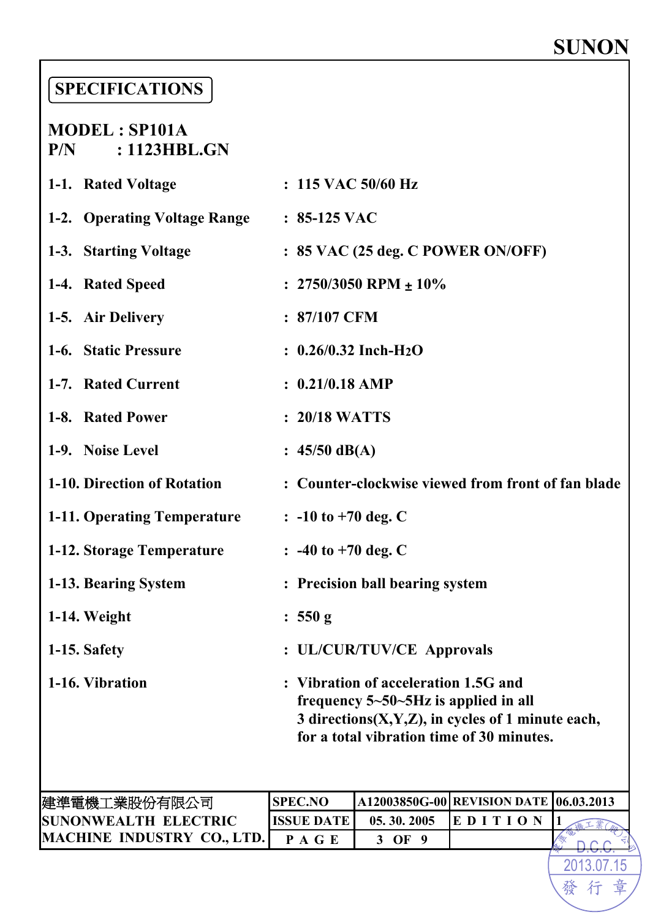# **SUNON**

2013.07

發行

章

### **SPECIFICATIONS**

# **MODEL : SP101A P/N : 1123HBL.GN 1-1. Rated Voltage : 115 VAC 50/60 Hz**

| 1-2. Operating Voltage Range | $: 85-125$ VAC                                                                                                                                                                       |
|------------------------------|--------------------------------------------------------------------------------------------------------------------------------------------------------------------------------------|
| 1-3. Starting Voltage        | $: 85$ VAC (25 deg. C POWER ON/OFF)                                                                                                                                                  |
| 1-4. Rated Speed             | : $2750/3050$ RPM $\pm 10\%$                                                                                                                                                         |
| 1-5. Air Delivery            | : 87/107 CFM                                                                                                                                                                         |
| 1-6. Static Pressure         | $: 0.26/0.32$ Inch-H <sub>2</sub> O                                                                                                                                                  |
| 1-7. Rated Current           | $: 0.21/0.18$ AMP                                                                                                                                                                    |
| 1-8. Rated Power             | : 20/18 WATTS                                                                                                                                                                        |
| 1-9. Noise Level             | : $45/50$ dB(A)                                                                                                                                                                      |
| 1-10. Direction of Rotation  | : Counter-clockwise viewed from front of fan blade                                                                                                                                   |
| 1-11. Operating Temperature  | $: -10$ to $+70$ deg. C                                                                                                                                                              |
| 1-12. Storage Temperature    | $: -40$ to $+70$ deg. C                                                                                                                                                              |
| 1-13. Bearing System         | : Precision ball bearing system                                                                                                                                                      |
| 1-14. Weight                 | : 550 g                                                                                                                                                                              |
| 1-15. Safety                 | : UL/CUR/TUV/CE Approvals                                                                                                                                                            |
| 1-16. Vibration              | : Vibration of acceleration 1.5G and<br>frequency $5 - 50 - 5$ Hz is applied in all<br>3 directions(X,Y,Z), in cycles of 1 minute each,<br>for a total vibration time of 30 minutes. |
|                              |                                                                                                                                                                                      |

| 建準電機工業股份有限公司                      | ISPEC.NO          |            | A12003850G-00 REVISION DATE 06.03.2013 |  |
|-----------------------------------|-------------------|------------|----------------------------------------|--|
| SUNONWEALTH ELECTRIC              | <b>HSSHE DATE</b> | 05.30.2005 |                                        |  |
| <b>MACHINE INDUSTRY CO., LTD.</b> |                   |            |                                        |  |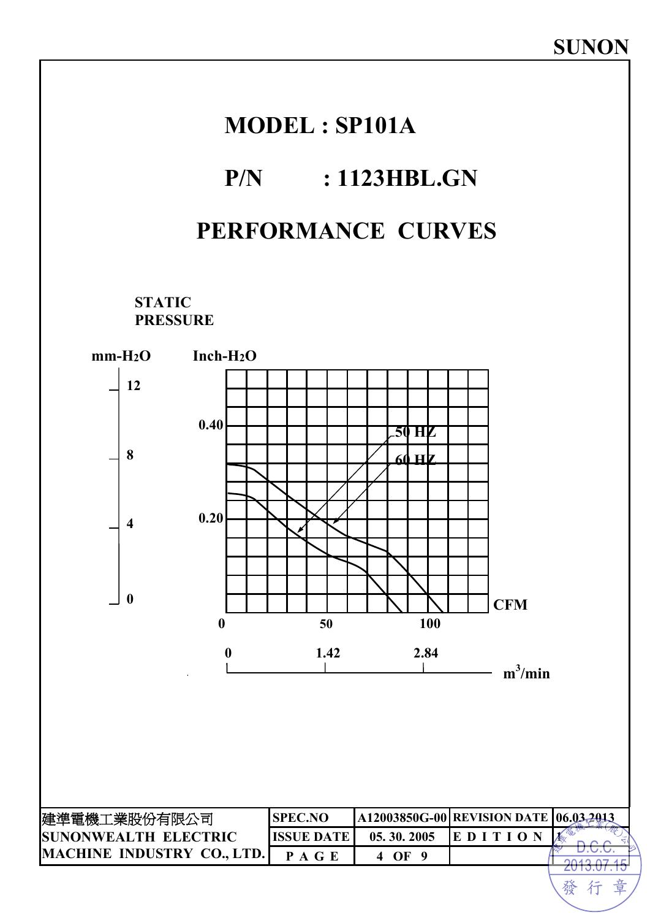

發 行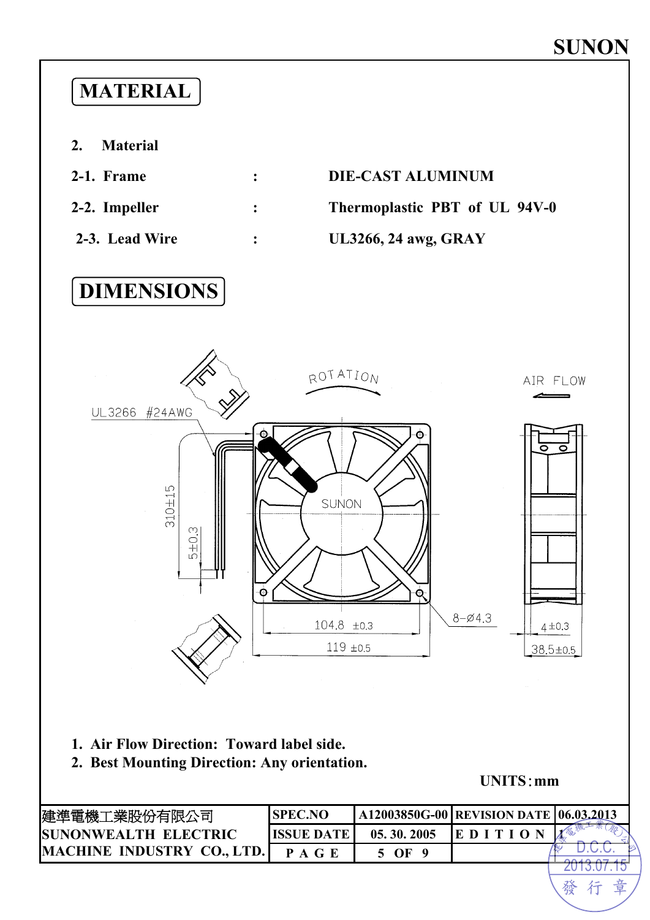

**2. Best Mounting Direction: Any orientation.** 

**UNITS**:**mm** 

發行

章

| 建準電機工業股份有限公司                 | <b>SPEC.NO</b>     |            | A12003850G-00 REVISION DATE 06.03.2013 |  |
|------------------------------|--------------------|------------|----------------------------------------|--|
| <b>ISUNONWEALTH ELECTRIC</b> | <b>IISSUE DATE</b> | 05.30.2005 |                                        |  |
| MACHINE INDUSTRY CO., LTD.   |                    | OF         |                                        |  |
|                              |                    |            |                                        |  |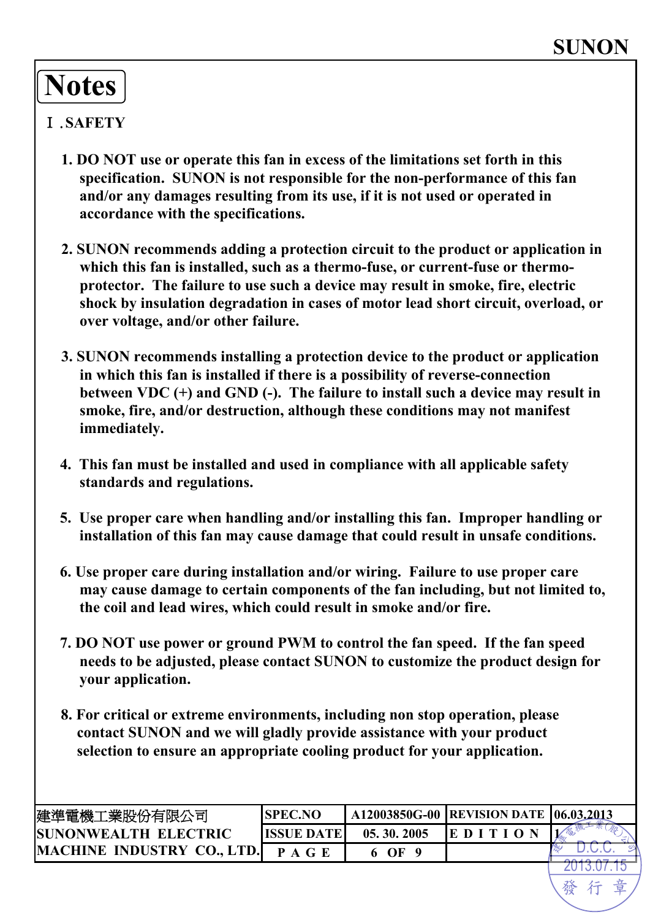# **Notes**

### Ⅰ.**SAFETY**

- **1. DO NOT use or operate this fan in excess of the limitations set forth in this specification. SUNON is not responsible for the non-performance of this fan and/or any damages resulting from its use, if it is not used or operated in accordance with the specifications.**
- **2. SUNON recommends adding a protection circuit to the product or application in which this fan is installed, such as a thermo-fuse, or current-fuse or thermoprotector. The failure to use such a device may result in smoke, fire, electric shock by insulation degradation in cases of motor lead short circuit, overload, or over voltage, and/or other failure.**
- **3. SUNON recommends installing a protection device to the product or application in which this fan is installed if there is a possibility of reverse-connection between VDC (+) and GND (-). The failure to install such a device may result in smoke, fire, and/or destruction, although these conditions may not manifest immediately.**
- **4. This fan must be installed and used in compliance with all applicable safety standards and regulations.**
- **5. Use proper care when handling and/or installing this fan. Improper handling or installation of this fan may cause damage that could result in unsafe conditions.**
- **6. Use proper care during installation and/or wiring. Failure to use proper care may cause damage to certain components of the fan including, but not limited to, the coil and lead wires, which could result in smoke and/or fire.**
- **7. DO NOT use power or ground PWM to control the fan speed. If the fan speed needs to be adjusted, please contact SUNON to customize the product design for your application.**
- **8. For critical or extreme environments, including non stop operation, please contact SUNON and we will gladly provide assistance with your product selection to ensure an appropriate cooling product for your application.**

| 建準電機工業股份有限公司                 | <b>SPEC.NO</b>    |            | A12003850G-00   REVISION DATE   06.03.2013 |  |
|------------------------------|-------------------|------------|--------------------------------------------|--|
| <b>ISUNONWEALTH ELECTRIC</b> | <b>ISSUE DATE</b> | 05.30.2005 | EDI                                        |  |
| MACHINE INDUSTRY CO., LTD.   | P A G E           | 6 OF       |                                            |  |
|                              |                   |            |                                            |  |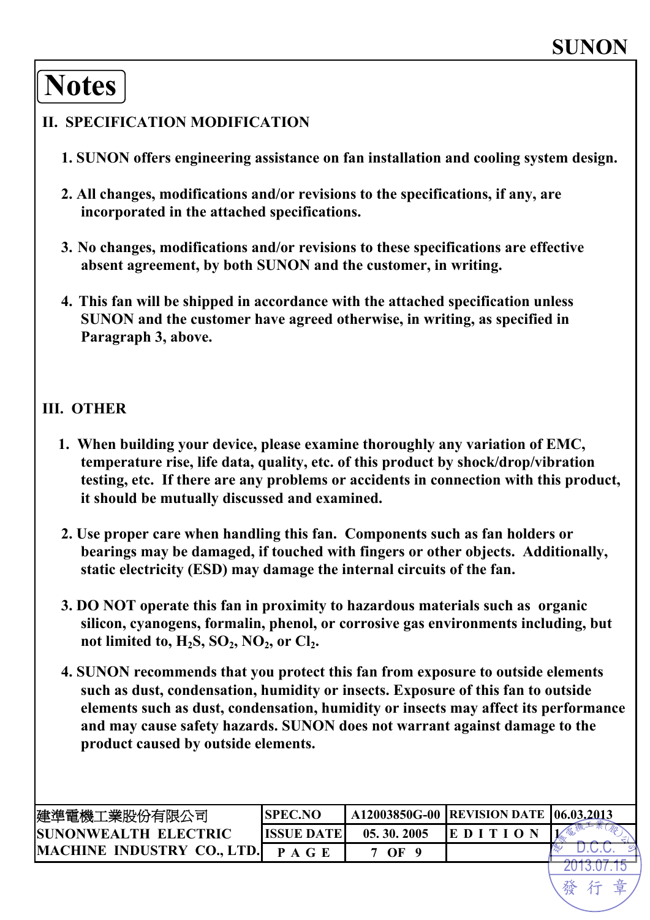## **Notes**

### **II. SPECIFICATION MODIFICATION**

- **1. SUNON offers engineering assistance on fan installation and cooling system design.**
- **2. All changes, modifications and/or revisions to the specifications, if any, are incorporated in the attached specifications.**
- **3. No changes, modifications and/or revisions to these specifications are effective absent agreement, by both SUNON and the customer, in writing.**
- **4. This fan will be shipped in accordance with the attached specification unless SUNON and the customer have agreed otherwise, in writing, as specified in Paragraph 3, above.**

#### **III. OTHER**

- **1. When building your device, please examine thoroughly any variation of EMC, temperature rise, life data, quality, etc. of this product by shock/drop/vibration testing, etc. If there are any problems or accidents in connection with this product, it should be mutually discussed and examined.**
- **2. Use proper care when handling this fan. Components such as fan holders or bearings may be damaged, if touched with fingers or other objects. Additionally, static electricity (ESD) may damage the internal circuits of the fan.**
- **3. DO NOT operate this fan in proximity to hazardous materials such as organic silicon, cyanogens, formalin, phenol, or corrosive gas environments including, but not limited to, H<sub>2</sub>S, SO<sub>2</sub>, NO<sub>2</sub>, or Cl<sub>2</sub>.**
- **4. SUNON recommends that you protect this fan from exposure to outside elements such as dust, condensation, humidity or insects. Exposure of this fan to outside elements such as dust, condensation, humidity or insects may affect its performance and may cause safety hazards. SUNON does not warrant against damage to the product caused by outside elements.**

| 建準電機工業股份有限公司                      | <b>ISPEC.NO</b> |            | A12003850G-00 REVISION DATE 06.03.2013 |  |
|-----------------------------------|-----------------|------------|----------------------------------------|--|
| <b>ISUNONWEALTH ELECTRIC</b>      | IISSUE DATEI    | 05.30.2005 | EDITIO                                 |  |
| <b>MACHINE INDUSTRY CO., LTD.</b> | P A G E         | 7 OF       |                                        |  |
|                                   |                 |            |                                        |  |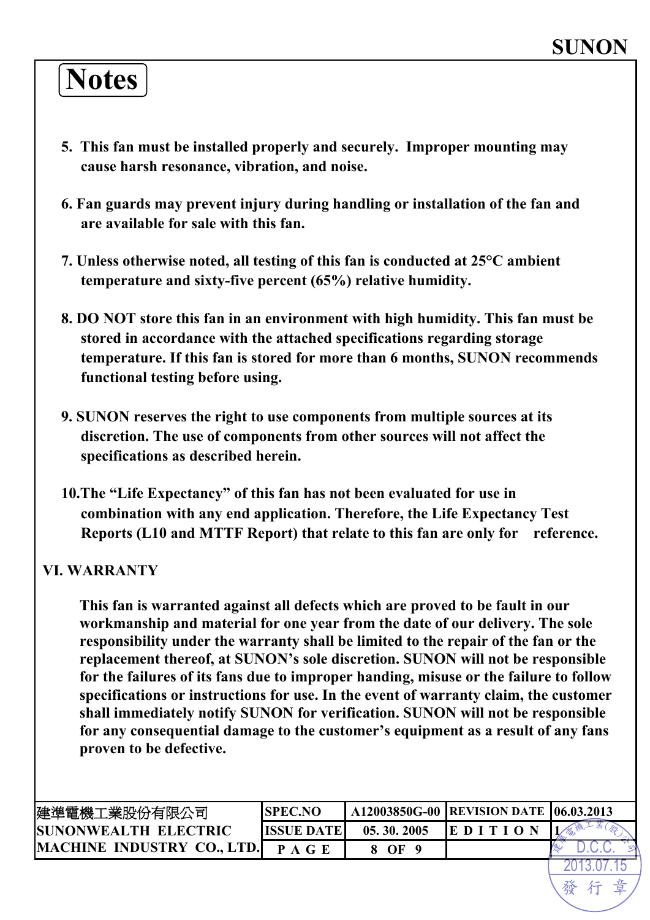# **Notes**

- **5. This fan must be installed properly and securely. Improper mounting may cause harsh resonance, vibration, and noise.**
- **6. Fan guards may prevent injury during handling or installation of the fan and are available for sale with this fan.**
- **7. Unless otherwise noted, all testing of this fan is conducted at 25°C ambient temperature and sixty-five percent (65%) relative humidity.**
- **8. DO NOT store this fan in an environment with high humidity. This fan must be stored in accordance with the attached specifications regarding storage temperature. If this fan is stored for more than 6 months, SUNON recommends functional testing before using.**
- **9. SUNON reserves the right to use components from multiple sources at its discretion. The use of components from other sources will not affect the specifications as described herein.**
- **10.The "Life Expectancy" of this fan has not been evaluated for use in combination with any end application. Therefore, the Life Expectancy Test Reports (L10 and MTTF Report) that relate to this fan are only for reference.**

### **VI. WARRANTY**

**This fan is warranted against all defects which are proved to be fault in our workmanship and material for one year from the date of our delivery. The sole responsibility under the warranty shall be limited to the repair of the fan or the replacement thereof, at SUNON's sole discretion. SUNON will not be responsible for the failures of its fans due to improper handing, misuse or the failure to follow specifications or instructions for use. In the event of warranty claim, the customer shall immediately notify SUNON for verification. SUNON will not be responsible for any consequential damage to the customer's equipment as a result of any fans proven to be defective.** 

| 建準電機工業股份有限公司                      | ISPEC.NO           |            | A12003850G-00 REVISION DATE 106.03.2013 |  |
|-----------------------------------|--------------------|------------|-----------------------------------------|--|
| <b>ISUNONWEALTH ELECTRIC</b>      | <b>IISSUE DATE</b> | 05.30.2005 | $E$ D I T I O                           |  |
| <b>MACHINE INDUSTRY CO., LTD.</b> |                    | OF         |                                         |  |
|                                   |                    |            |                                         |  |